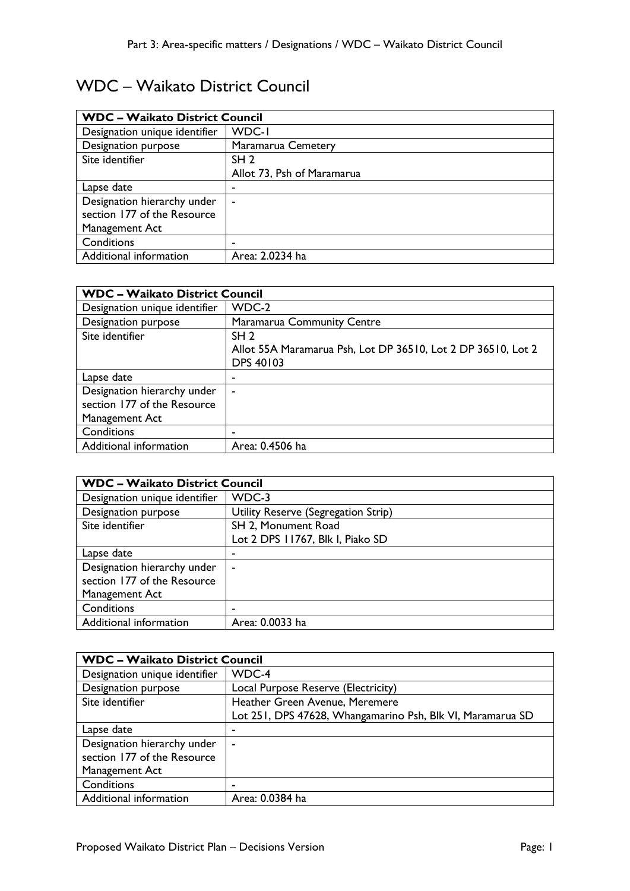## WDC – Waikato District Council

| <b>WDC - Waikato District Council</b> |                            |
|---------------------------------------|----------------------------|
| Designation unique identifier         | WDC-I                      |
| Designation purpose                   | Maramarua Cemetery         |
| Site identifier                       | SH <sub>2</sub>            |
|                                       | Allot 73, Psh of Maramarua |
| Lapse date                            |                            |
| Designation hierarchy under           | ۰                          |
| section 177 of the Resource           |                            |
| Management Act                        |                            |
| Conditions                            |                            |
| Additional information                | Area: 2.0234 ha            |

| <b>WDC - Waikato District Council</b> |                                                              |
|---------------------------------------|--------------------------------------------------------------|
| Designation unique identifier         | WDC-2                                                        |
| Designation purpose                   | <b>Maramarua Community Centre</b>                            |
| Site identifier                       | SH <sub>2</sub>                                              |
|                                       | Allot 55A Maramarua Psh, Lot DP 36510, Lot 2 DP 36510, Lot 2 |
|                                       | <b>DPS 40103</b>                                             |
| Lapse date                            |                                                              |
| Designation hierarchy under           | ۰                                                            |
| section 177 of the Resource           |                                                              |
| Management Act                        |                                                              |
| Conditions                            |                                                              |
| Additional information                | Area: 0.4506 ha                                              |

| <b>WDC - Waikato District Council</b> |                                     |
|---------------------------------------|-------------------------------------|
| Designation unique identifier         | WDC-3                               |
| Designation purpose                   | Utility Reserve (Segregation Strip) |
| Site identifier                       | SH 2, Monument Road                 |
|                                       | Lot 2 DPS 11767, Blk I, Piako SD    |
| Lapse date                            | ٠                                   |
| Designation hierarchy under           | ۰                                   |
| section 177 of the Resource           |                                     |
| Management Act                        |                                     |
| Conditions                            | -                                   |
| Additional information                | Area: 0.0033 ha                     |

| <b>WDC - Waikato District Council</b> |                                                            |
|---------------------------------------|------------------------------------------------------------|
| Designation unique identifier         | WDC-4                                                      |
| Designation purpose                   | Local Purpose Reserve (Electricity)                        |
| Site identifier                       | Heather Green Avenue, Meremere                             |
|                                       | Lot 251, DPS 47628, Whangamarino Psh, Blk VI, Maramarua SD |
| Lapse date                            | -                                                          |
| Designation hierarchy under           | $\blacksquare$                                             |
| section 177 of the Resource           |                                                            |
| Management Act                        |                                                            |
| Conditions                            |                                                            |
| Additional information                | Area: 0.0384 ha                                            |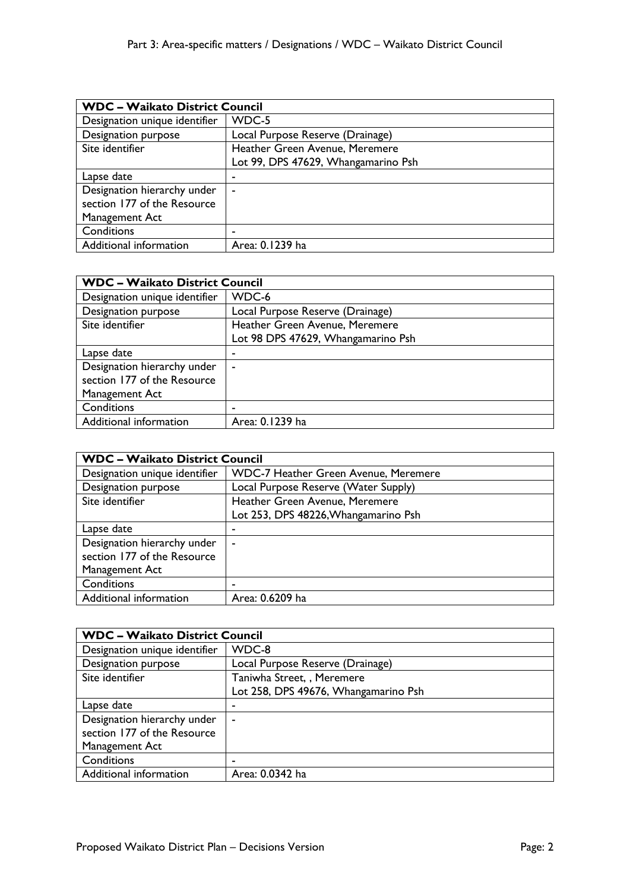| <b>WDC - Waikato District Council</b> |                                     |
|---------------------------------------|-------------------------------------|
| Designation unique identifier         | WDC-5                               |
| Designation purpose                   | Local Purpose Reserve (Drainage)    |
| Site identifier                       | Heather Green Avenue, Meremere      |
|                                       | Lot 99, DPS 47629, Whangamarino Psh |
| Lapse date                            |                                     |
| Designation hierarchy under           | $\blacksquare$                      |
| section 177 of the Resource           |                                     |
| Management Act                        |                                     |
| Conditions                            | ٠                                   |
| Additional information                | Area: 0.1239 ha                     |

| <b>WDC - Waikato District Council</b> |                                    |
|---------------------------------------|------------------------------------|
| Designation unique identifier         | WDC-6                              |
| Designation purpose                   | Local Purpose Reserve (Drainage)   |
| Site identifier                       | Heather Green Avenue, Meremere     |
|                                       | Lot 98 DPS 47629, Whangamarino Psh |
| Lapse date                            |                                    |
| Designation hierarchy under           | ۰                                  |
| section 177 of the Resource           |                                    |
| Management Act                        |                                    |
| Conditions                            |                                    |
| Additional information                | Area: 0.1239 ha                    |

| <b>WDC - Waikato District Council</b> |                                             |
|---------------------------------------|---------------------------------------------|
| Designation unique identifier         | <b>WDC-7 Heather Green Avenue, Meremere</b> |
| Designation purpose                   | Local Purpose Reserve (Water Supply)        |
| Site identifier                       | Heather Green Avenue, Meremere              |
|                                       | Lot 253, DPS 48226, Whangamarino Psh        |
| Lapse date                            |                                             |
| Designation hierarchy under           | $\blacksquare$                              |
| section 177 of the Resource           |                                             |
| Management Act                        |                                             |
| Conditions                            | -                                           |
| Additional information                | Area: 0.6209 ha                             |

| <b>WDC - Waikato District Council</b> |                                      |
|---------------------------------------|--------------------------------------|
| Designation unique identifier         | WDC-8                                |
| Designation purpose                   | Local Purpose Reserve (Drainage)     |
| Site identifier                       | Taniwha Street, , Meremere           |
|                                       | Lot 258, DPS 49676, Whangamarino Psh |
| Lapse date                            | ٠                                    |
| Designation hierarchy under           | $\sim$                               |
| section 177 of the Resource           |                                      |
| Management Act                        |                                      |
| Conditions                            |                                      |
| Additional information                | Area: 0.0342 ha                      |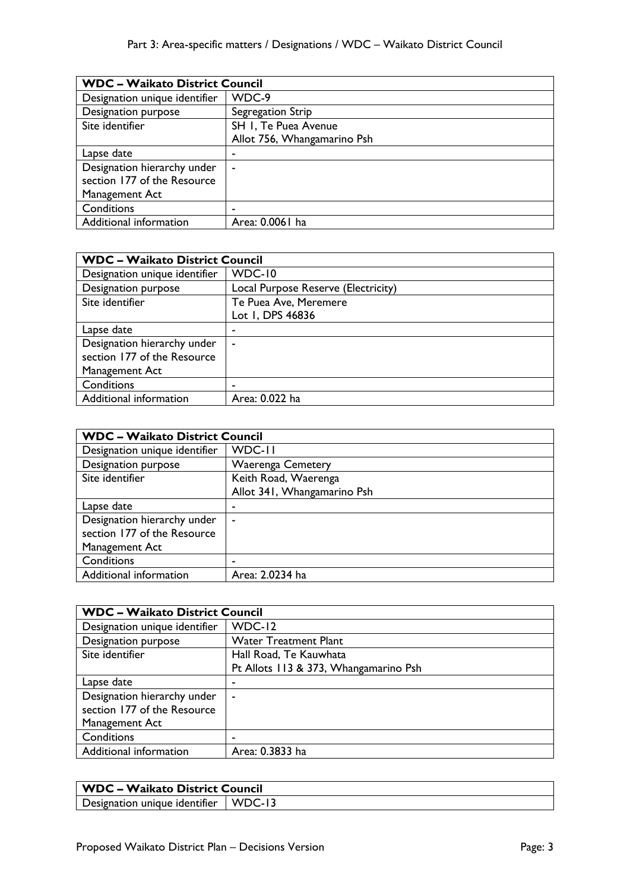| <b>WDC - Waikato District Council</b> |                             |
|---------------------------------------|-----------------------------|
| Designation unique identifier         | WDC-9                       |
| Designation purpose                   | Segregation Strip           |
| Site identifier                       | SH I, Te Puea Avenue        |
|                                       | Allot 756, Whangamarino Psh |
| Lapse date                            | -                           |
| Designation hierarchy under           | ۰                           |
| section 177 of the Resource           |                             |
| Management Act                        |                             |
| Conditions                            | ۰                           |
| Additional information                | Area: 0.0061 ha             |

| <b>WDC - Waikato District Council</b> |                                     |
|---------------------------------------|-------------------------------------|
| Designation unique identifier         | <b>WDC-10</b>                       |
| Designation purpose                   | Local Purpose Reserve (Electricity) |
| Site identifier                       | Te Puea Ave, Meremere               |
|                                       | Lot 1, DPS 46836                    |
| Lapse date                            |                                     |
| Designation hierarchy under           | ۰                                   |
| section 177 of the Resource           |                                     |
| Management Act                        |                                     |
| Conditions                            |                                     |
| Additional information                | Area: 0.022 ha                      |

| <b>WDC - Waikato District Council</b> |                             |
|---------------------------------------|-----------------------------|
| Designation unique identifier         | WDC-II                      |
| Designation purpose                   | <b>Waerenga Cemetery</b>    |
| Site identifier                       | Keith Road, Waerenga        |
|                                       | Allot 341, Whangamarino Psh |
| Lapse date                            |                             |
| Designation hierarchy under           | ٠                           |
| section 177 of the Resource           |                             |
| Management Act                        |                             |
| Conditions                            |                             |
| Additional information                | Area: 2.0234 ha             |

| <b>WDC - Waikato District Council</b> |                                       |
|---------------------------------------|---------------------------------------|
| Designation unique identifier         | $WDC-12$                              |
| Designation purpose                   | <b>Water Treatment Plant</b>          |
| Site identifier                       | Hall Road, Te Kauwhata                |
|                                       | Pt Allots 113 & 373, Whangamarino Psh |
| Lapse date                            | ٠                                     |
| Designation hierarchy under           | ۰                                     |
| section 177 of the Resource           |                                       |
| Management Act                        |                                       |
| Conditions                            | -                                     |
| Additional information                | Area: 0.3833 ha                       |

| <b>WDC - Waikato District Council</b>  |  |
|----------------------------------------|--|
| Designation unique identifier   WDC-13 |  |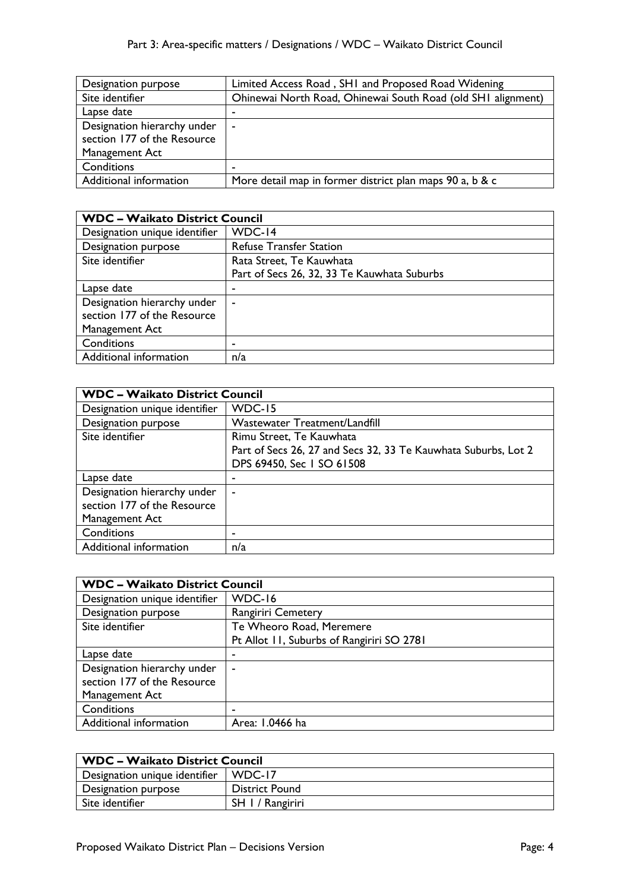| Designation purpose         | Limited Access Road, SHI and Proposed Road Widening          |
|-----------------------------|--------------------------------------------------------------|
| Site identifier             | Ohinewai North Road, Ohinewai South Road (old SHI alignment) |
| Lapse date                  |                                                              |
| Designation hierarchy under | $\sim$                                                       |
| section 177 of the Resource |                                                              |
| Management Act              |                                                              |
| Conditions                  |                                                              |
| Additional information      | More detail map in former district plan maps 90 a, b & c     |

| <b>WDC - Waikato District Council</b> |                                             |
|---------------------------------------|---------------------------------------------|
| Designation unique identifier         | WDC-14                                      |
| Designation purpose                   | <b>Refuse Transfer Station</b>              |
| Site identifier                       | Rata Street, Te Kauwhata                    |
|                                       | Part of Secs 26, 32, 33 Te Kauwhata Suburbs |
| Lapse date                            | ٠                                           |
| Designation hierarchy under           | ۰                                           |
| section 177 of the Resource           |                                             |
| Management Act                        |                                             |
| Conditions                            | ۰                                           |
| Additional information                | n/a                                         |

| <b>WDC - Waikato District Council</b> |                                                                |
|---------------------------------------|----------------------------------------------------------------|
| Designation unique identifier         | WDC-15                                                         |
| Designation purpose                   | Wastewater Treatment/Landfill                                  |
| Site identifier                       | Rimu Street, Te Kauwhata                                       |
|                                       | Part of Secs 26, 27 and Secs 32, 33 Te Kauwhata Suburbs, Lot 2 |
|                                       | DPS 69450, Sec 1 SO 61508                                      |
| Lapse date                            |                                                                |
| Designation hierarchy under           |                                                                |
| section 177 of the Resource           |                                                                |
| Management Act                        |                                                                |
| Conditions                            |                                                                |
| Additional information                | n/a                                                            |

| <b>WDC - Waikato District Council</b> |                                           |
|---------------------------------------|-------------------------------------------|
| Designation unique identifier         | WDC-16                                    |
| Designation purpose                   | <b>Rangiriri Cemetery</b>                 |
| Site identifier                       | Te Wheoro Road, Meremere                  |
|                                       | Pt Allot 11, Suburbs of Rangiriri SO 2781 |
| Lapse date                            | -                                         |
| Designation hierarchy under           | $\overline{\phantom{0}}$                  |
| section 177 of the Resource           |                                           |
| Management Act                        |                                           |
| Conditions                            |                                           |
| Additional information                | Area: 1.0466 ha                           |

| <b>WDC - Waikato District Council</b> |                       |
|---------------------------------------|-----------------------|
| Designation unique identifier         | WDC-17                |
| Designation purpose                   | <b>District Pound</b> |
| Site identifier                       | SH 1 / Rangiriri      |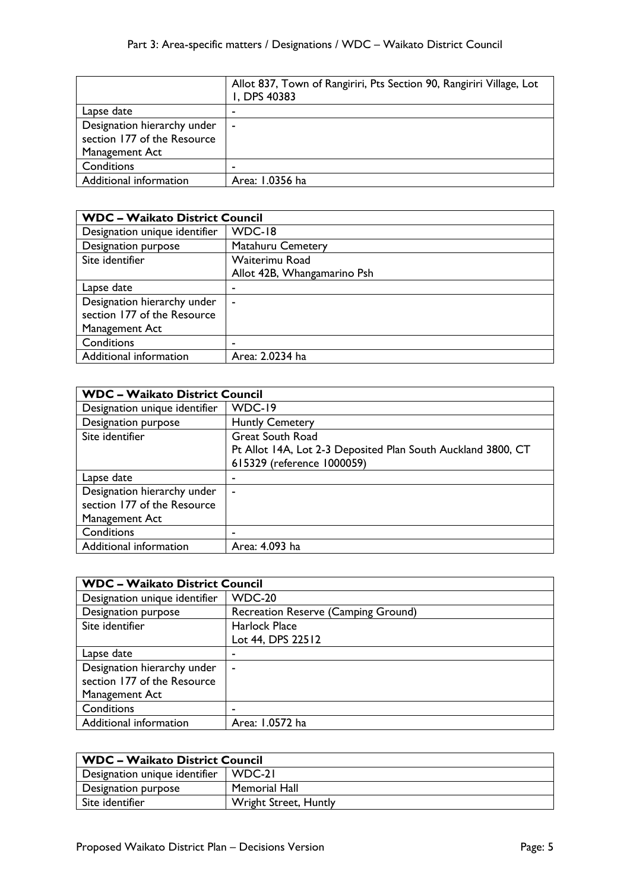|                             | Allot 837, Town of Rangiriri, Pts Section 90, Rangiriri Village, Lot<br>I, DPS 40383 |
|-----------------------------|--------------------------------------------------------------------------------------|
| Lapse date                  |                                                                                      |
| Designation hierarchy under | $\sim$                                                                               |
| section 177 of the Resource |                                                                                      |
| Management Act              |                                                                                      |
| Conditions                  |                                                                                      |
| Additional information      | Area: 1.0356 ha                                                                      |

| <b>WDC - Waikato District Council</b> |                             |
|---------------------------------------|-----------------------------|
| Designation unique identifier         | WDC-18                      |
| Designation purpose                   | Matahuru Cemetery           |
| Site identifier                       | Waiterimu Road              |
|                                       | Allot 42B, Whangamarino Psh |
| Lapse date                            | ٠                           |
| Designation hierarchy under           | ۰                           |
| section 177 of the Resource           |                             |
| Management Act                        |                             |
| Conditions                            | -                           |
| Additional information                | Area: 2.0234 ha             |

| <b>WDC - Waikato District Council</b> |                                                              |
|---------------------------------------|--------------------------------------------------------------|
| Designation unique identifier         | WDC-19                                                       |
| Designation purpose                   | <b>Huntly Cemetery</b>                                       |
| Site identifier                       | <b>Great South Road</b>                                      |
|                                       | Pt Allot 14A, Lot 2-3 Deposited Plan South Auckland 3800, CT |
|                                       | 615329 (reference 1000059)                                   |
| Lapse date                            |                                                              |
| Designation hierarchy under           | $\blacksquare$                                               |
| section 177 of the Resource           |                                                              |
| Management Act                        |                                                              |
| Conditions                            | $\overline{\phantom{a}}$                                     |
| Additional information                | Area: 4.093 ha                                               |

| <b>WDC - Waikato District Council</b> |                                     |
|---------------------------------------|-------------------------------------|
| Designation unique identifier         | <b>WDC-20</b>                       |
| Designation purpose                   | Recreation Reserve (Camping Ground) |
| Site identifier                       | Harlock Place                       |
|                                       | Lot 44, DPS 22512                   |
| Lapse date                            |                                     |
| Designation hierarchy under           | $\sim$                              |
| section 177 of the Resource           |                                     |
| Management Act                        |                                     |
| Conditions                            | -                                   |
| Additional information                | Area: 1.0572 ha                     |

| <b>WDC - Waikato District Council</b> |                       |
|---------------------------------------|-----------------------|
| Designation unique identifier         | WDC-21                |
| Designation purpose                   | Memorial Hall         |
| Site identifier                       | Wright Street, Huntly |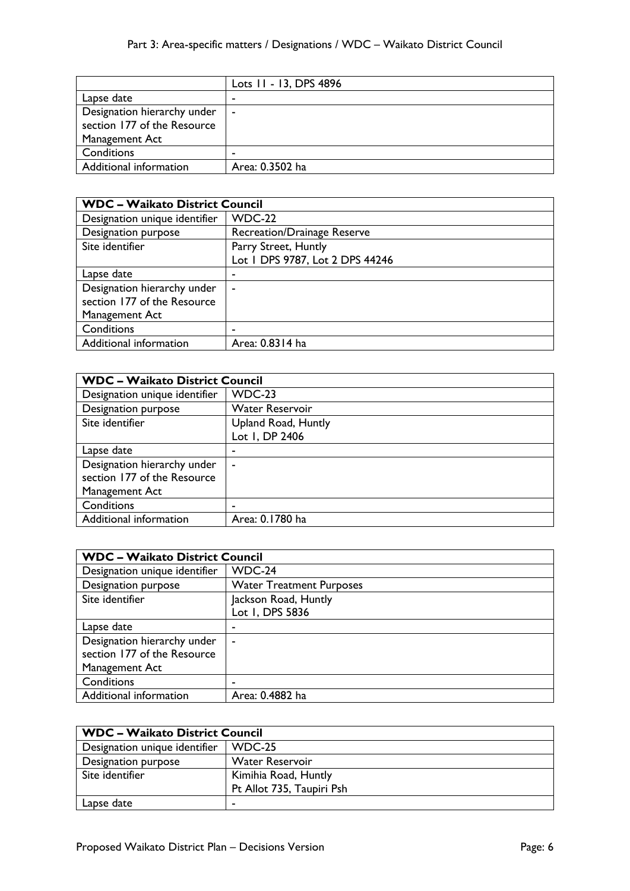|                                                            | Lots 11 - 13, DPS 4896 |
|------------------------------------------------------------|------------------------|
| Lapse date                                                 |                        |
| Designation hierarchy under<br>section 177 of the Resource | $\blacksquare$         |
| Management Act                                             |                        |
| Conditions                                                 |                        |
| Additional information                                     | Area: 0.3502 ha        |

| <b>WDC - Waikato District Council</b> |                                                         |
|---------------------------------------|---------------------------------------------------------|
| Designation unique identifier         | <b>WDC-22</b>                                           |
| Designation purpose                   | Recreation/Drainage Reserve                             |
| Site identifier                       | Parry Street, Huntly<br>Lot I DPS 9787, Lot 2 DPS 44246 |
| Lapse date                            | -                                                       |
| Designation hierarchy under           | ٠                                                       |
| section 177 of the Resource           |                                                         |
| Management Act                        |                                                         |
| Conditions                            | ۰                                                       |
| Additional information                | Area: 0.8314 ha                                         |

| <b>WDC - Waikato District Council</b> |                        |
|---------------------------------------|------------------------|
| Designation unique identifier         | <b>WDC-23</b>          |
| Designation purpose                   | <b>Water Reservoir</b> |
| Site identifier                       | Upland Road, Huntly    |
|                                       | Lot 1, DP 2406         |
| Lapse date                            | -                      |
| Designation hierarchy under           | ۰                      |
| section 177 of the Resource           |                        |
| Management Act                        |                        |
| Conditions                            |                        |
| Additional information                | Area: 0.1780 ha        |

| <b>WDC - Waikato District Council</b> |                                 |
|---------------------------------------|---------------------------------|
| Designation unique identifier         | WDC-24                          |
| Designation purpose                   | <b>Water Treatment Purposes</b> |
| Site identifier                       | Jackson Road, Huntly            |
|                                       | Lot 1, DPS 5836                 |
| Lapse date                            | ۰                               |
| Designation hierarchy under           | $\blacksquare$                  |
| section 177 of the Resource           |                                 |
| Management Act                        |                                 |
| Conditions                            | ٠                               |
| Additional information                | Area: 0.4882 ha                 |

| <b>WDC - Waikato District Council</b> |                           |
|---------------------------------------|---------------------------|
| Designation unique identifier         | WDC-25                    |
| Designation purpose                   | <b>Water Reservoir</b>    |
| Site identifier                       | Kimihia Road, Huntly      |
|                                       | Pt Allot 735, Taupiri Psh |
| Lapse date                            |                           |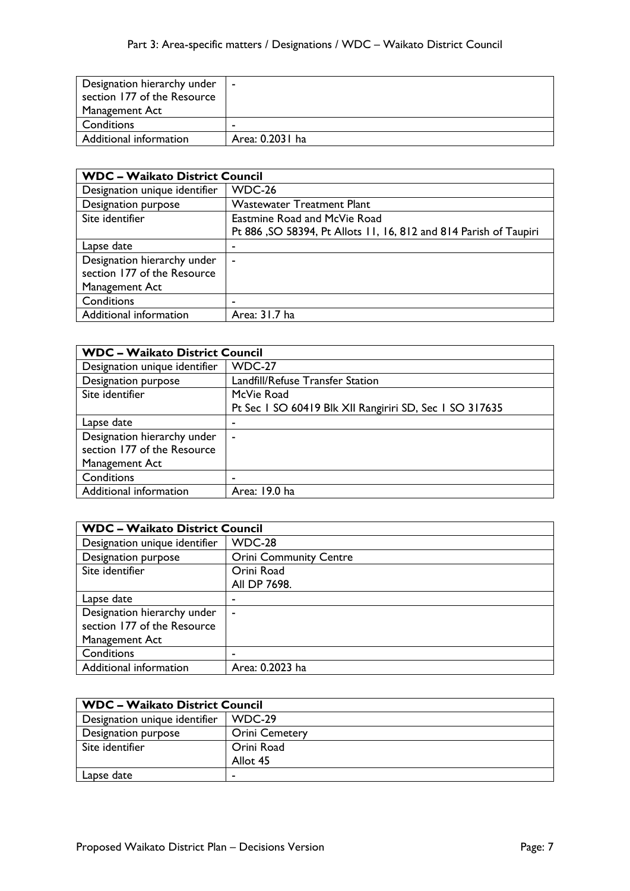| Designation hierarchy under | $\blacksquare$  |
|-----------------------------|-----------------|
| section 177 of the Resource |                 |
| Management Act              |                 |
| Conditions                  |                 |
| Additional information      | Area: 0.2031 ha |

| <b>WDC - Waikato District Council</b> |                                                                   |
|---------------------------------------|-------------------------------------------------------------------|
| Designation unique identifier         | WDC-26                                                            |
| Designation purpose                   | <b>Wastewater Treatment Plant</b>                                 |
| Site identifier                       | Eastmine Road and McVie Road                                      |
|                                       | Pt 886, SO 58394, Pt Allots 11, 16, 812 and 814 Parish of Taupiri |
| Lapse date                            | ٠                                                                 |
| Designation hierarchy under           | ۰                                                                 |
| section 177 of the Resource           |                                                                   |
| Management Act                        |                                                                   |
| Conditions                            | ٠                                                                 |
| Additional information                | Area: 31.7 ha                                                     |

| <b>WDC - Waikato District Council</b> |                                                         |
|---------------------------------------|---------------------------------------------------------|
| Designation unique identifier         | <b>WDC-27</b>                                           |
| Designation purpose                   | Landfill/Refuse Transfer Station                        |
| Site identifier                       | McVie Road                                              |
|                                       | Pt Sec 1 SO 60419 Blk XII Rangiriri SD, Sec 1 SO 317635 |
| Lapse date                            |                                                         |
| Designation hierarchy under           | ٠                                                       |
| section 177 of the Resource           |                                                         |
| Management Act                        |                                                         |
| Conditions                            |                                                         |
| Additional information                | Area: 19.0 ha                                           |

| <b>WDC - Waikato District Council</b> |                               |
|---------------------------------------|-------------------------------|
| Designation unique identifier         | WDC-28                        |
| Designation purpose                   | <b>Orini Community Centre</b> |
| Site identifier                       | Orini Road                    |
|                                       | All DP 7698.                  |
| Lapse date                            |                               |
| Designation hierarchy under           | $\blacksquare$                |
| section 177 of the Resource           |                               |
| Management Act                        |                               |
| Conditions                            |                               |
| Additional information                | Area: 0.2023 ha               |

| <b>WDC - Waikato District Council</b> |                       |
|---------------------------------------|-----------------------|
| Designation unique identifier         | $WDC-29$              |
| Designation purpose                   | <b>Orini Cemetery</b> |
| Site identifier                       | Orini Road            |
|                                       | Allot 45              |
| Lapse date                            |                       |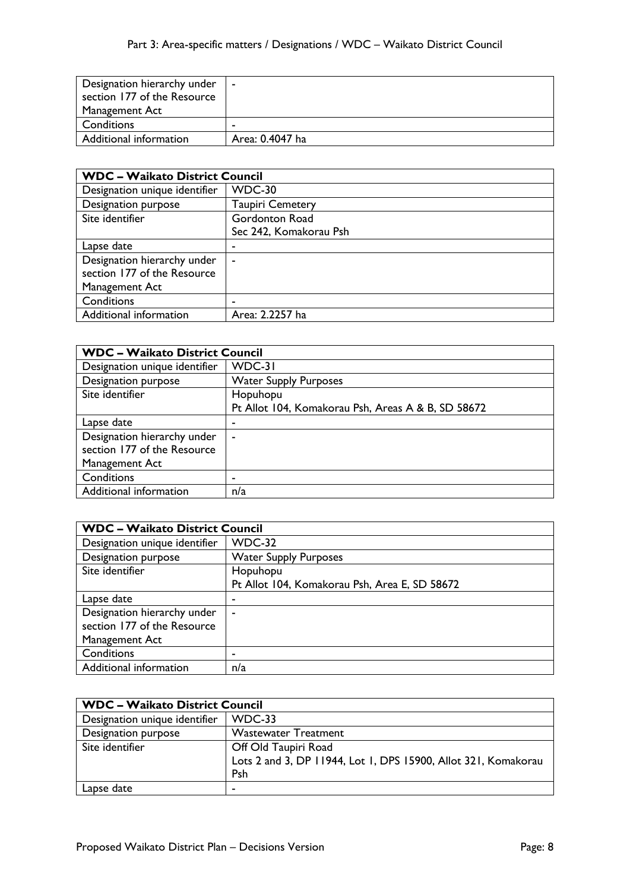| Designation hierarchy under | . .             |
|-----------------------------|-----------------|
| section 177 of the Resource |                 |
| Management Act              |                 |
| Conditions                  |                 |
| Additional information      | Area: 0.4047 ha |

| <b>WDC - Waikato District Council</b> |                         |
|---------------------------------------|-------------------------|
| Designation unique identifier         | WDC-30                  |
| Designation purpose                   | <b>Taupiri Cemetery</b> |
| Site identifier                       | Gordonton Road          |
|                                       | Sec 242, Komakorau Psh  |
| Lapse date                            | ٠                       |
| Designation hierarchy under           | ٠                       |
| section 177 of the Resource           |                         |
| Management Act                        |                         |
| Conditions                            | ٠                       |
| Additional information                | Area: 2.2257 ha         |

| <b>WDC - Waikato District Council</b> |                                                    |
|---------------------------------------|----------------------------------------------------|
| Designation unique identifier         | WDC-31                                             |
| Designation purpose                   | <b>Water Supply Purposes</b>                       |
| Site identifier                       | Hopuhopu                                           |
|                                       | Pt Allot 104, Komakorau Psh, Areas A & B, SD 58672 |
| Lapse date                            |                                                    |
| Designation hierarchy under           | ٠                                                  |
| section 177 of the Resource           |                                                    |
| Management Act                        |                                                    |
| Conditions                            | -                                                  |
| Additional information                | n/a                                                |

| <b>WDC - Waikato District Council</b> |                                               |
|---------------------------------------|-----------------------------------------------|
| Designation unique identifier         | WDC-32                                        |
| Designation purpose                   | <b>Water Supply Purposes</b>                  |
| Site identifier                       | Hopuhopu                                      |
|                                       | Pt Allot 104, Komakorau Psh, Area E, SD 58672 |
| Lapse date                            | ٠                                             |
| Designation hierarchy under           | ۰                                             |
| section 177 of the Resource           |                                               |
| Management Act                        |                                               |
| Conditions                            |                                               |
| Additional information                | n/a                                           |

| <b>WDC - Waikato District Council</b> |                                                                                               |
|---------------------------------------|-----------------------------------------------------------------------------------------------|
| Designation unique identifier         | WDC-33                                                                                        |
| Designation purpose                   | <b>Wastewater Treatment</b>                                                                   |
| Site identifier                       | Off Old Taupiri Road<br>Lots 2 and 3, DP 11944, Lot 1, DPS 15900, Allot 321, Komakorau<br>Psh |
| Lapse date                            |                                                                                               |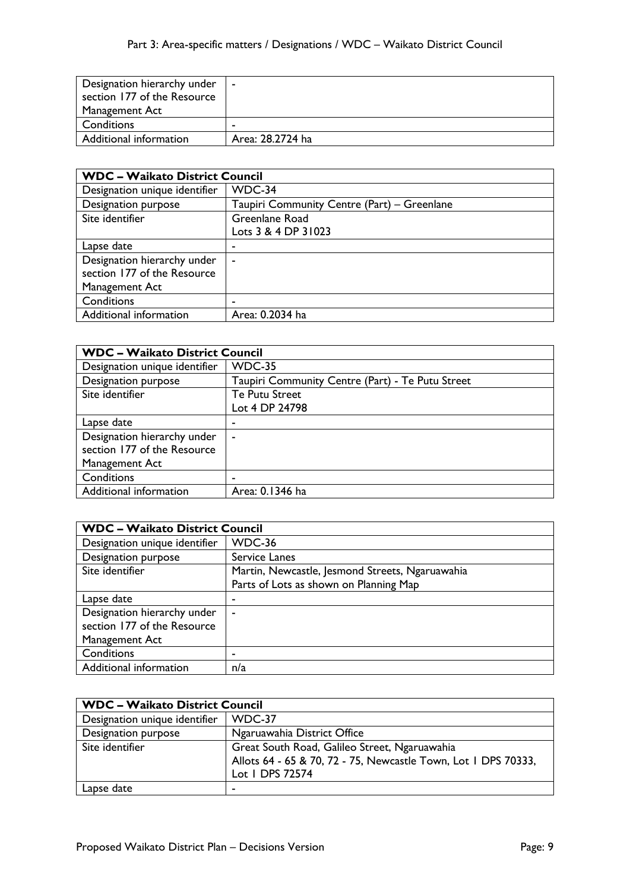| Designation hierarchy under | $\blacksquare$   |
|-----------------------------|------------------|
| section 177 of the Resource |                  |
| Management Act              |                  |
| Conditions                  |                  |
| Additional information      | Area: 28.2724 ha |

| <b>WDC - Waikato District Council</b> |                                             |
|---------------------------------------|---------------------------------------------|
| Designation unique identifier         | WDC-34                                      |
| Designation purpose                   | Taupiri Community Centre (Part) – Greenlane |
| Site identifier                       | Greenlane Road                              |
|                                       | Lots 3 & 4 DP 31023                         |
| Lapse date                            | -                                           |
| Designation hierarchy under           | $\overline{\phantom{a}}$                    |
| section 177 of the Resource           |                                             |
| Management Act                        |                                             |
| Conditions                            | ٠                                           |
| Additional information                | Area: 0.2034 ha                             |

| <b>WDC - Waikato District Council</b> |                                                  |
|---------------------------------------|--------------------------------------------------|
| Designation unique identifier         | <b>WDC-35</b>                                    |
| Designation purpose                   | Taupiri Community Centre (Part) - Te Putu Street |
| Site identifier                       | Te Putu Street                                   |
|                                       | Lot 4 DP 24798                                   |
| Lapse date                            |                                                  |
| Designation hierarchy under           |                                                  |
| section 177 of the Resource           |                                                  |
| Management Act                        |                                                  |
| Conditions                            |                                                  |
| Additional information                | Area: 0.1346 ha                                  |

| <b>WDC - Waikato District Council</b> |                                                 |
|---------------------------------------|-------------------------------------------------|
| Designation unique identifier         | WDC-36                                          |
| Designation purpose                   | Service Lanes                                   |
| Site identifier                       | Martin, Newcastle, Jesmond Streets, Ngaruawahia |
|                                       | Parts of Lots as shown on Planning Map          |
| Lapse date                            | ۰                                               |
| Designation hierarchy under           | $\blacksquare$                                  |
| section 177 of the Resource           |                                                 |
| Management Act                        |                                                 |
| Conditions                            |                                                 |
| Additional information                | n/a                                             |

| <b>WDC - Waikato District Council</b> |                                                                                                                                    |
|---------------------------------------|------------------------------------------------------------------------------------------------------------------------------------|
| Designation unique identifier         | WDC-37                                                                                                                             |
| Designation purpose                   | Ngaruawahia District Office                                                                                                        |
| Site identifier                       | Great South Road, Galileo Street, Ngaruawahia<br>Allots 64 - 65 & 70, 72 - 75, Newcastle Town, Lot 1 DPS 70333,<br>Lot 1 DPS 72574 |
| Lapse date                            | -                                                                                                                                  |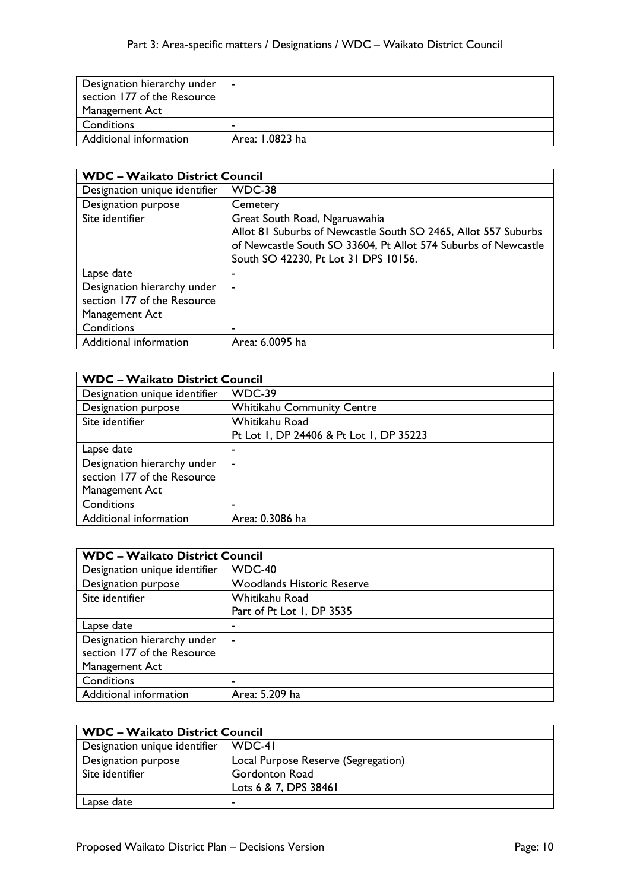| Designation hierarchy under | $\blacksquare$  |
|-----------------------------|-----------------|
| section 177 of the Resource |                 |
| Management Act              |                 |
| Conditions                  | $\blacksquare$  |
| Additional information      | Area: 1.0823 ha |

| <b>WDC - Waikato District Council</b> |                                                                |
|---------------------------------------|----------------------------------------------------------------|
| Designation unique identifier         | WDC-38                                                         |
| Designation purpose                   | Cemetery                                                       |
| Site identifier                       | Great South Road, Ngaruawahia                                  |
|                                       | Allot 81 Suburbs of Newcastle South SO 2465, Allot 557 Suburbs |
|                                       | of Newcastle South SO 33604, Pt Allot 574 Suburbs of Newcastle |
|                                       | South SO 42230, Pt Lot 31 DPS 10156.                           |
| Lapse date                            | ۰                                                              |
| Designation hierarchy under           | $\blacksquare$                                                 |
| section 177 of the Resource           |                                                                |
| Management Act                        |                                                                |
| Conditions                            | ۰                                                              |
| Additional information                | Area: 6.0095 ha                                                |

| <b>WDC - Waikato District Council</b> |                                         |
|---------------------------------------|-----------------------------------------|
| Designation unique identifier         | WDC-39                                  |
| Designation purpose                   | <b>Whitikahu Community Centre</b>       |
| Site identifier                       | Whitikahu Road                          |
|                                       | Pt Lot 1, DP 24406 & Pt Lot 1, DP 35223 |
| Lapse date                            |                                         |
| Designation hierarchy under           | ۰                                       |
| section 177 of the Resource           |                                         |
| Management Act                        |                                         |
| Conditions                            |                                         |
| Additional information                | Area: 0.3086 ha                         |

| <b>WDC - Waikato District Council</b> |                                   |
|---------------------------------------|-----------------------------------|
| Designation unique identifier         | WDC-40                            |
| Designation purpose                   | <b>Woodlands Historic Reserve</b> |
| Site identifier                       | Whitikahu Road                    |
|                                       | Part of Pt Lot 1, DP 3535         |
| Lapse date                            |                                   |
| Designation hierarchy under           |                                   |
| section 177 of the Resource           |                                   |
| Management Act                        |                                   |
| Conditions                            |                                   |
| Additional information                | Area: 5.209 ha                    |

| <b>WDC - Waikato District Council</b> |                                     |
|---------------------------------------|-------------------------------------|
| Designation unique identifier         | WDC-41                              |
| Designation purpose                   | Local Purpose Reserve (Segregation) |
| Site identifier                       | <b>Gordonton Road</b>               |
|                                       | Lots 6 & 7, DPS 38461               |
| Lapse date                            | -                                   |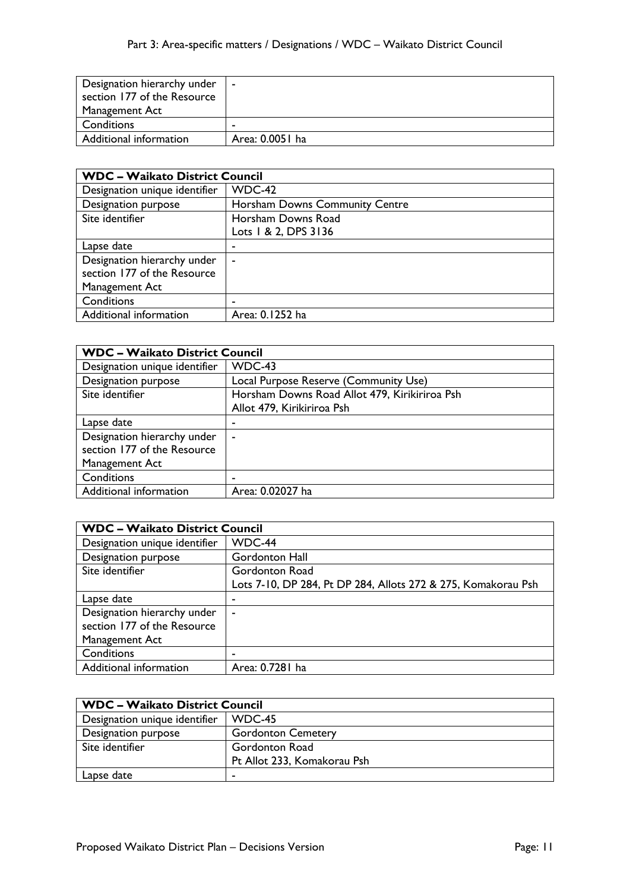| Designation hierarchy under | $\sim$ $-$      |
|-----------------------------|-----------------|
| section 177 of the Resource |                 |
| Management Act              |                 |
| Conditions                  |                 |
| Additional information      | Area: 0.0051 ha |

| <b>WDC - Waikato District Council</b> |                                |
|---------------------------------------|--------------------------------|
| Designation unique identifier         | WDC-42                         |
| Designation purpose                   | Horsham Downs Community Centre |
| Site identifier                       | Horsham Downs Road             |
|                                       | Lots 1 & 2, DPS 3136           |
| Lapse date                            | ۰                              |
| Designation hierarchy under           | ٠                              |
| section 177 of the Resource           |                                |
| Management Act                        |                                |
| Conditions                            | ۰                              |
| Additional information                | Area: 0.1252 ha                |

| <b>WDC - Waikato District Council</b> |                                               |
|---------------------------------------|-----------------------------------------------|
| Designation unique identifier         | WDC-43                                        |
| Designation purpose                   | Local Purpose Reserve (Community Use)         |
| Site identifier                       | Horsham Downs Road Allot 479, Kirikiriroa Psh |
|                                       | Allot 479, Kirikiriroa Psh                    |
| Lapse date                            | ۰                                             |
| Designation hierarchy under           | $\tilde{\phantom{a}}$                         |
| section 177 of the Resource           |                                               |
| Management Act                        |                                               |
| Conditions                            | ۰                                             |
| Additional information                | Area: 0.02027 ha                              |

| <b>WDC - Waikato District Council</b> |                                                               |
|---------------------------------------|---------------------------------------------------------------|
| Designation unique identifier         | WDC-44                                                        |
| Designation purpose                   | Gordonton Hall                                                |
| Site identifier                       | Gordonton Road                                                |
|                                       | Lots 7-10, DP 284, Pt DP 284, Allots 272 & 275, Komakorau Psh |
| Lapse date                            | ۰                                                             |
| Designation hierarchy under           | ۰                                                             |
| section 177 of the Resource           |                                                               |
| Management Act                        |                                                               |
| Conditions                            |                                                               |
| Additional information                | Area: 0.7281 ha                                               |

| <b>WDC - Waikato District Council</b> |                             |
|---------------------------------------|-----------------------------|
| Designation unique identifier         | WDC-45                      |
| Designation purpose                   | <b>Gordonton Cemetery</b>   |
| Site identifier                       | Gordonton Road              |
|                                       | Pt Allot 233, Komakorau Psh |
| Lapse date                            |                             |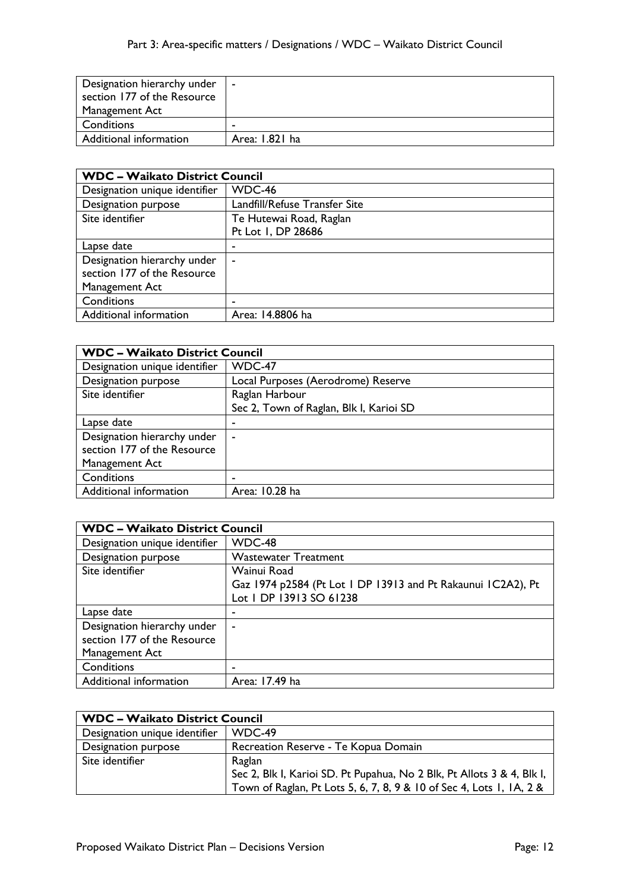| Designation hierarchy under | $\blacksquare$ |
|-----------------------------|----------------|
| section 177 of the Resource |                |
| Management Act              |                |
| Conditions                  |                |
| Additional information      | Area: 1.821 ha |

| <b>WDC - Waikato District Council</b> |                               |
|---------------------------------------|-------------------------------|
| Designation unique identifier         | WDC-46                        |
| Designation purpose                   | Landfill/Refuse Transfer Site |
| Site identifier                       | Te Hutewai Road, Raglan       |
|                                       | Pt Lot 1, DP 28686            |
| Lapse date                            | ۰                             |
| Designation hierarchy under           | $\overline{\phantom{a}}$      |
| section 177 of the Resource           |                               |
| Management Act                        |                               |
| Conditions                            | ٠                             |
| Additional information                | Area: 14.8806 ha              |

| <b>WDC - Waikato District Council</b> |                                         |
|---------------------------------------|-----------------------------------------|
| Designation unique identifier         | WDC-47                                  |
| Designation purpose                   | Local Purposes (Aerodrome) Reserve      |
| Site identifier                       | Raglan Harbour                          |
|                                       | Sec 2, Town of Raglan, Blk I, Karioi SD |
| Lapse date                            | -                                       |
| Designation hierarchy under           | $\tilde{\phantom{a}}$                   |
| section 177 of the Resource           |                                         |
| Management Act                        |                                         |
| Conditions                            | -                                       |
| Additional information                | Area: 10.28 ha                          |

| <b>WDC - Waikato District Council</b> |                                                              |
|---------------------------------------|--------------------------------------------------------------|
| Designation unique identifier         | WDC-48                                                       |
| Designation purpose                   | <b>Wastewater Treatment</b>                                  |
| Site identifier                       | Wainui Road                                                  |
|                                       | Gaz 1974 p2584 (Pt Lot 1 DP 13913 and Pt Rakaunui 1C2A2), Pt |
|                                       | Lot I DP 13913 SO 61238                                      |
| Lapse date                            |                                                              |
| Designation hierarchy under           | ۰                                                            |
| section 177 of the Resource           |                                                              |
| Management Act                        |                                                              |
| Conditions                            |                                                              |
| Additional information                | Area: 17.49 ha                                               |

| <b>WDC - Waikato District Council</b> |                                                                        |
|---------------------------------------|------------------------------------------------------------------------|
| Designation unique identifier         | WDC-49                                                                 |
| Designation purpose                   | Recreation Reserve - Te Kopua Domain                                   |
| Site identifier                       | Raglan                                                                 |
|                                       | Sec 2, Blk I, Karioi SD. Pt Pupahua, No 2 Blk, Pt Allots 3 & 4, Blk I, |
|                                       | Town of Raglan, Pt Lots 5, 6, 7, 8, 9 & 10 of Sec 4, Lots 1, 1A, 2 &   |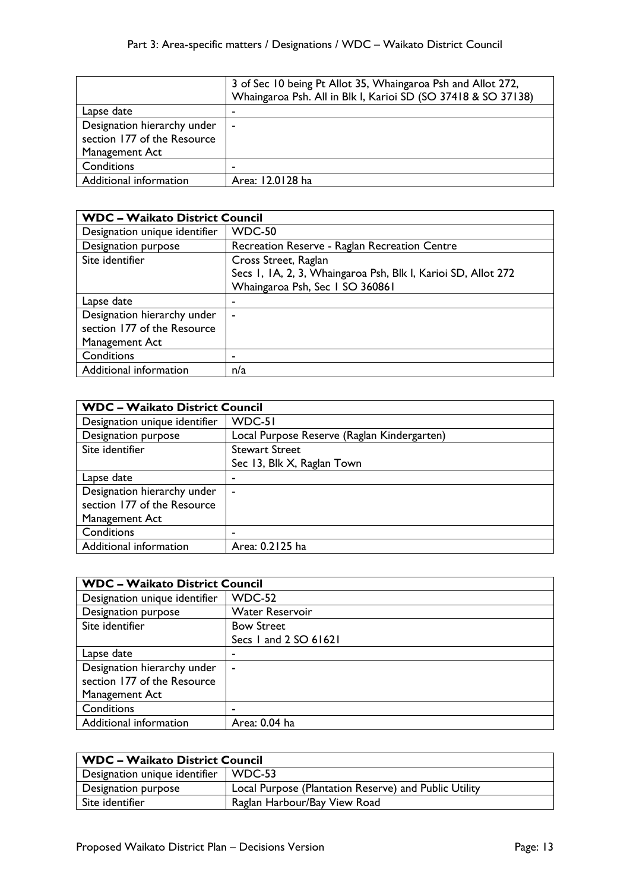|                             | 3 of Sec 10 being Pt Allot 35, Whaingaroa Psh and Allot 272,<br>Whaingaroa Psh. All in Blk I, Karioi SD (SO 37418 & SO 37138) |
|-----------------------------|-------------------------------------------------------------------------------------------------------------------------------|
| Lapse date                  | -                                                                                                                             |
| Designation hierarchy under | $\blacksquare$                                                                                                                |
| section 177 of the Resource |                                                                                                                               |
| Management Act              |                                                                                                                               |
| Conditions                  | -                                                                                                                             |
| Additional information      | Area: 12.0128 ha                                                                                                              |

| <b>WDC - Waikato District Council</b> |                                                               |
|---------------------------------------|---------------------------------------------------------------|
| Designation unique identifier         | <b>WDC-50</b>                                                 |
| Designation purpose                   | Recreation Reserve - Raglan Recreation Centre                 |
| Site identifier                       | Cross Street, Raglan                                          |
|                                       | Secs I, IA, 2, 3, Whaingaroa Psh, Blk I, Karioi SD, Allot 272 |
|                                       | Whaingaroa Psh, Sec I SO 360861                               |
| Lapse date                            | ٠                                                             |
| Designation hierarchy under           | ۰                                                             |
| section 177 of the Resource           |                                                               |
| Management Act                        |                                                               |
| Conditions                            |                                                               |
| Additional information                | n/a                                                           |

| <b>WDC - Waikato District Council</b> |                                             |
|---------------------------------------|---------------------------------------------|
| Designation unique identifier         | WDC-51                                      |
| Designation purpose                   | Local Purpose Reserve (Raglan Kindergarten) |
| Site identifier                       | <b>Stewart Street</b>                       |
|                                       | Sec 13, Blk X, Raglan Town                  |
| Lapse date                            |                                             |
| Designation hierarchy under           | $\blacksquare$                              |
| section 177 of the Resource           |                                             |
| Management Act                        |                                             |
| Conditions                            | -                                           |
| Additional information                | Area: 0.2125 ha                             |

| <b>WDC - Waikato District Council</b> |                        |
|---------------------------------------|------------------------|
| Designation unique identifier         | <b>WDC-52</b>          |
| Designation purpose                   | <b>Water Reservoir</b> |
| Site identifier                       | <b>Bow Street</b>      |
|                                       | Secs 1 and 2 SO 61621  |
| Lapse date                            |                        |
| Designation hierarchy under           | $\sim$                 |
| section 177 of the Resource           |                        |
| Management Act                        |                        |
| Conditions                            |                        |
| Additional information                | Area: 0.04 ha          |

| <b>WDC - Waikato District Council</b> |                                                       |
|---------------------------------------|-------------------------------------------------------|
| Designation unique identifier         | WDC-53                                                |
| Designation purpose                   | Local Purpose (Plantation Reserve) and Public Utility |
| Site identifier                       | Raglan Harbour/Bay View Road                          |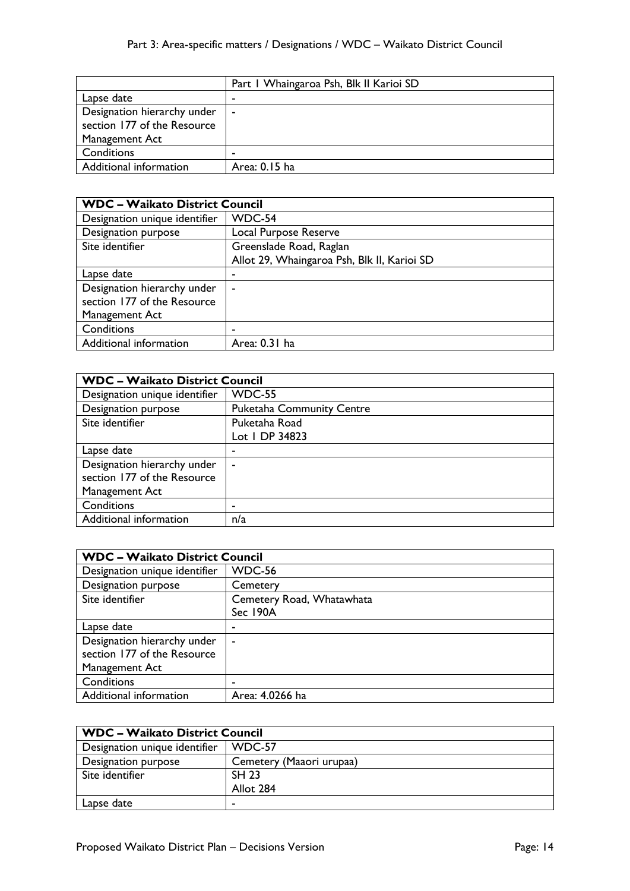|                                                                              | Part I Whaingaroa Psh, Blk II Karioi SD |
|------------------------------------------------------------------------------|-----------------------------------------|
| Lapse date                                                                   |                                         |
| Designation hierarchy under<br>section 177 of the Resource<br>Management Act | $\blacksquare$                          |
| Conditions                                                                   |                                         |
| Additional information                                                       | Area: 0.15 ha                           |

| <b>WDC - Waikato District Council</b> |                                             |
|---------------------------------------|---------------------------------------------|
| Designation unique identifier         | WDC-54                                      |
| Designation purpose                   | Local Purpose Reserve                       |
| Site identifier                       | Greenslade Road, Raglan                     |
|                                       | Allot 29, Whaingaroa Psh, Blk II, Karioi SD |
| Lapse date                            | ۰                                           |
| Designation hierarchy under           | ٠                                           |
| section 177 of the Resource           |                                             |
| Management Act                        |                                             |
| Conditions                            | ۰                                           |
| Additional information                | Area: 0.31 ha                               |

| <b>WDC - Waikato District Council</b> |                                  |
|---------------------------------------|----------------------------------|
| Designation unique identifier         | <b>WDC-55</b>                    |
| Designation purpose                   | <b>Puketaha Community Centre</b> |
| Site identifier                       | Puketaha Road                    |
|                                       | Lot   DP 34823                   |
| Lapse date                            |                                  |
| Designation hierarchy under           | $\blacksquare$                   |
| section 177 of the Resource           |                                  |
| Management Act                        |                                  |
| Conditions                            | -                                |
| Additional information                | n/a                              |

| <b>WDC - Waikato District Council</b> |                           |
|---------------------------------------|---------------------------|
| Designation unique identifier         | WDC-56                    |
| Designation purpose                   | Cemetery                  |
| Site identifier                       | Cemetery Road, Whatawhata |
|                                       | Sec 190A                  |
| Lapse date                            | ۰                         |
| Designation hierarchy under           | $\blacksquare$            |
| section 177 of the Resource           |                           |
| Management Act                        |                           |
| Conditions                            | -                         |
| Additional information                | Area: 4.0266 ha           |

| <b>WDC - Waikato District Council</b> |                          |
|---------------------------------------|--------------------------|
| Designation unique identifier         | WDC-57                   |
| Designation purpose                   | Cemetery (Maaori urupaa) |
| Site identifier                       | <b>SH 23</b>             |
|                                       | Allot 284                |
| Lapse date                            |                          |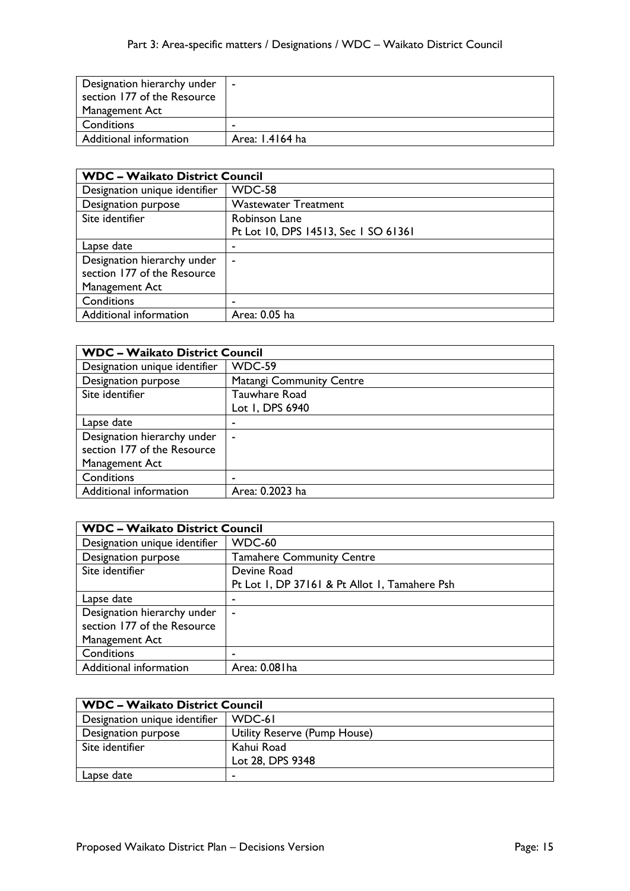| Designation hierarchy under | $\sim$          |
|-----------------------------|-----------------|
| section 177 of the Resource |                 |
| Management Act              |                 |
| Conditions                  |                 |
| Additional information      | Area: 1.4164 ha |

| <b>WDC - Waikato District Council</b> |                                      |
|---------------------------------------|--------------------------------------|
| Designation unique identifier         | WDC-58                               |
| Designation purpose                   | <b>Wastewater Treatment</b>          |
| Site identifier                       | Robinson Lane                        |
|                                       | Pt Lot 10, DPS 14513, Sec 1 SO 61361 |
| Lapse date                            | ٠                                    |
| Designation hierarchy under           | $\overline{\phantom{a}}$             |
| section 177 of the Resource           |                                      |
| Management Act                        |                                      |
| Conditions                            | ٠                                    |
| Additional information                | Area: 0.05 ha                        |

| <b>WDC - Waikato District Council</b> |                                 |
|---------------------------------------|---------------------------------|
| Designation unique identifier         | WDC-59                          |
| Designation purpose                   | <b>Matangi Community Centre</b> |
| Site identifier                       | Tauwhare Road                   |
|                                       | Lot 1, DPS 6940                 |
| Lapse date                            | -                               |
| Designation hierarchy under           | $\tilde{\phantom{a}}$           |
| section 177 of the Resource           |                                 |
| Management Act                        |                                 |
| Conditions                            | -                               |
| Additional information                | Area: 0.2023 ha                 |

| <b>WDC - Waikato District Council</b> |                                               |
|---------------------------------------|-----------------------------------------------|
| Designation unique identifier         | WDC-60                                        |
| Designation purpose                   | <b>Tamahere Community Centre</b>              |
| Site identifier                       | Devine Road                                   |
|                                       | Pt Lot I, DP 37161 & Pt Allot I, Tamahere Psh |
| Lapse date                            |                                               |
| Designation hierarchy under           | ۰                                             |
| section 177 of the Resource           |                                               |
| Management Act                        |                                               |
| Conditions                            |                                               |
| Additional information                | Area: 0.08 l ha                               |

| <b>WDC - Waikato District Council</b> |                              |
|---------------------------------------|------------------------------|
| Designation unique identifier         | WDC-61                       |
| Designation purpose                   | Utility Reserve (Pump House) |
| Site identifier                       | Kahui Road                   |
|                                       | Lot 28, DPS 9348             |
| Lapse date                            |                              |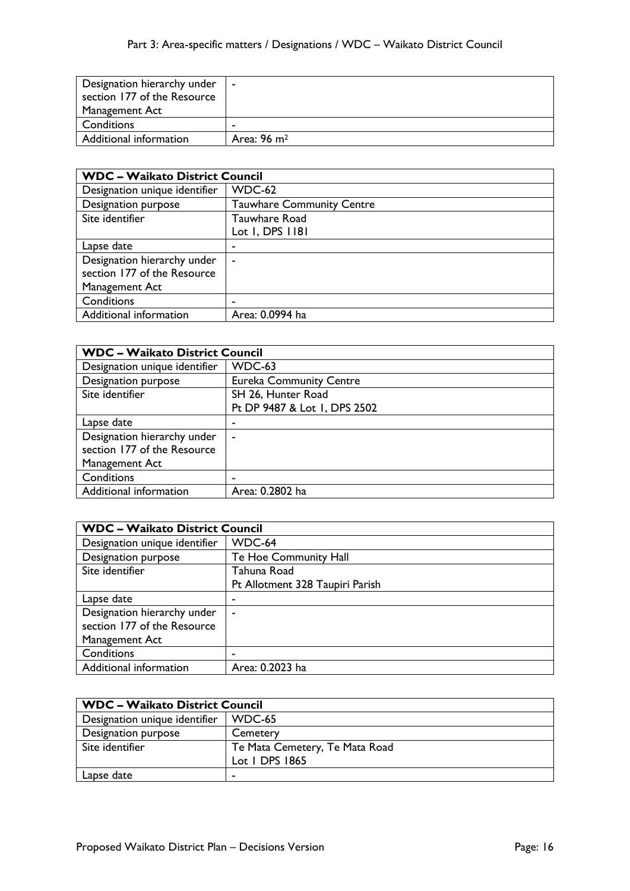| Designation hierarchy under | $\blacksquare$          |
|-----------------------------|-------------------------|
| section 177 of the Resource |                         |
| Management Act              |                         |
| Conditions                  | $\blacksquare$          |
| Additional information      | Area: 96 m <sup>2</sup> |

| <b>WDC - Waikato District Council</b> |                                  |
|---------------------------------------|----------------------------------|
| Designation unique identifier         | WDC-62                           |
| Designation purpose                   | <b>Tauwhare Community Centre</b> |
| Site identifier                       | Tauwhare Road                    |
|                                       | Lot 1, DPS 1181                  |
| Lapse date                            | -                                |
| Designation hierarchy under           | ٠                                |
| section 177 of the Resource           |                                  |
| Management Act                        |                                  |
| Conditions                            | -                                |
| Additional information                | Area: 0.0994 ha                  |

| <b>WDC - Waikato District Council</b> |                                |
|---------------------------------------|--------------------------------|
| Designation unique identifier         | WDC-63                         |
| Designation purpose                   | <b>Eureka Community Centre</b> |
| Site identifier                       | SH 26, Hunter Road             |
|                                       | Pt DP 9487 & Lot 1, DPS 2502   |
| Lapse date                            | ۰                              |
| Designation hierarchy under           | $\overline{\phantom{a}}$       |
| section 177 of the Resource           |                                |
| Management Act                        |                                |
| Conditions                            | ٠                              |
| Additional information                | Area: 0.2802 ha                |

| <b>WDC - Waikato District Council</b> |                                 |
|---------------------------------------|---------------------------------|
| Designation unique identifier         | WDC-64                          |
| Designation purpose                   | Te Hoe Community Hall           |
| Site identifier                       | Tahuna Road                     |
|                                       | Pt Allotment 328 Taupiri Parish |
| Lapse date                            |                                 |
| Designation hierarchy under           | ۰                               |
| section 177 of the Resource           |                                 |
| Management Act                        |                                 |
| Conditions                            |                                 |
| Additional information                | Area: 0.2023 ha                 |

| <b>WDC - Waikato District Council</b> |                                |
|---------------------------------------|--------------------------------|
| Designation unique identifier         | WDC-65                         |
| Designation purpose                   | Cemetery                       |
| Site identifier                       | Te Mata Cemetery, Te Mata Road |
|                                       | Lot   DPS 1865                 |
| Lapse date                            |                                |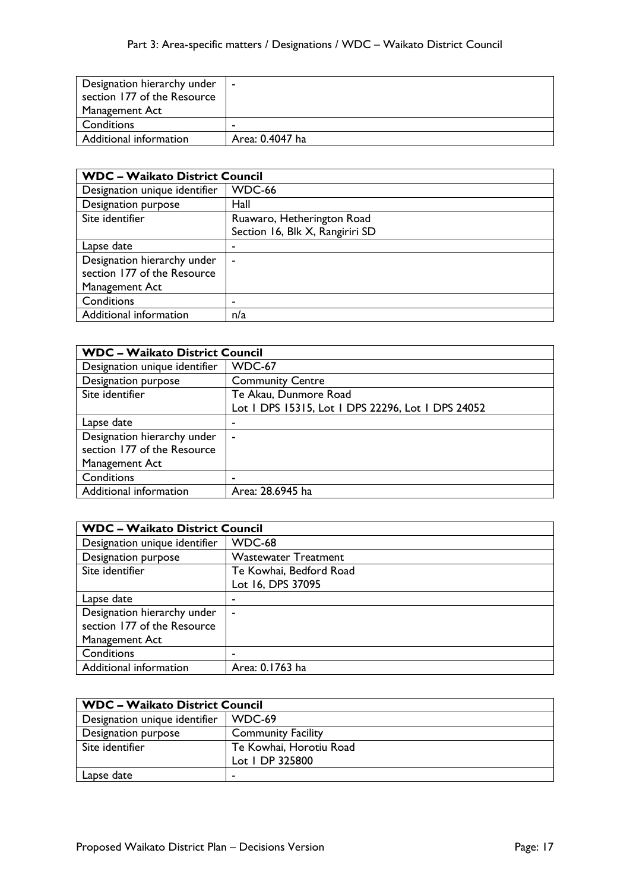| Designation hierarchy under | $\sim$          |
|-----------------------------|-----------------|
| section 177 of the Resource |                 |
| Management Act              |                 |
| Conditions                  |                 |
| Additional information      | Area: 0.4047 ha |

| <b>WDC - Waikato District Council</b> |                                 |
|---------------------------------------|---------------------------------|
| Designation unique identifier         | WDC-66                          |
| Designation purpose                   | Hall                            |
| Site identifier                       | Ruawaro, Hetherington Road      |
|                                       | Section 16, Blk X, Rangiriri SD |
| Lapse date                            | ٠                               |
| Designation hierarchy under           | ۰                               |
| section 177 of the Resource           |                                 |
| Management Act                        |                                 |
| Conditions                            | -                               |
| Additional information                | n/a                             |

| <b>WDC - Waikato District Council</b> |                                                   |
|---------------------------------------|---------------------------------------------------|
| Designation unique identifier         | WDC-67                                            |
| Designation purpose                   | <b>Community Centre</b>                           |
| Site identifier                       | Te Akau, Dunmore Road                             |
|                                       | Lot I DPS 15315, Lot I DPS 22296, Lot I DPS 24052 |
| Lapse date                            |                                                   |
| Designation hierarchy under           | $\sim$                                            |
| section 177 of the Resource           |                                                   |
| Management Act                        |                                                   |
| Conditions                            |                                                   |
| Additional information                | Area: 28.6945 ha                                  |

| <b>WDC - Waikato District Council</b> |                             |
|---------------------------------------|-----------------------------|
| Designation unique identifier         | WDC-68                      |
| Designation purpose                   | <b>Wastewater Treatment</b> |
| Site identifier                       | Te Kowhai, Bedford Road     |
|                                       | Lot 16, DPS 37095           |
| Lapse date                            |                             |
| Designation hierarchy under           | ۰                           |
| section 177 of the Resource           |                             |
| Management Act                        |                             |
| Conditions                            |                             |
| Additional information                | Area: 0.1763 ha             |

| <b>WDC - Waikato District Council</b> |                           |
|---------------------------------------|---------------------------|
| Designation unique identifier         | WDC-69                    |
| Designation purpose                   | <b>Community Facility</b> |
| Site identifier                       | Te Kowhai, Horotiu Road   |
|                                       | Lot   DP 325800           |
| Lapse date                            |                           |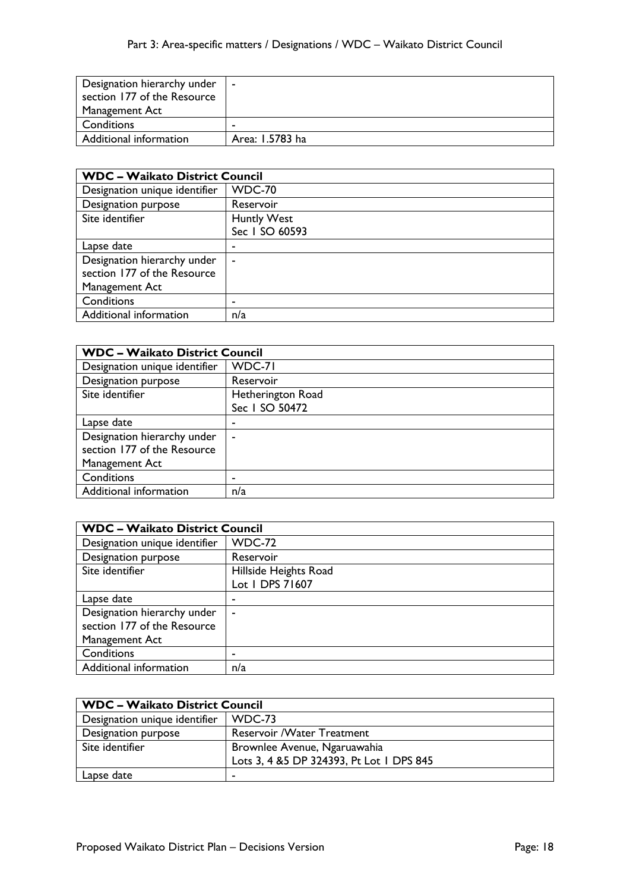| Designation hierarchy under | $\sim$          |
|-----------------------------|-----------------|
| section 177 of the Resource |                 |
| Management Act              |                 |
| Conditions                  |                 |
| Additional information      | Area: 1.5783 ha |

| <b>WDC - Waikato District Council</b> |                |
|---------------------------------------|----------------|
| Designation unique identifier         | <b>WDC-70</b>  |
| Designation purpose                   | Reservoir      |
| Site identifier                       | Huntly West    |
|                                       | Sec 1 SO 60593 |
| Lapse date                            | ۰              |
| Designation hierarchy under           | ٠              |
| section 177 of the Resource           |                |
| Management Act                        |                |
| Conditions                            | ۰              |
| Additional information                | n/a            |

| <b>WDC - Waikato District Council</b> |                   |
|---------------------------------------|-------------------|
| Designation unique identifier         | WDC-71            |
| Designation purpose                   | Reservoir         |
| Site identifier                       | Hetherington Road |
|                                       | Sec 1 SO 50472    |
| Lapse date                            | ۰                 |
| Designation hierarchy under           | ٠                 |
| section 177 of the Resource           |                   |
| Management Act                        |                   |
| Conditions                            | ۰                 |
| Additional information                | n/a               |

| <b>WDC - Waikato District Council</b> |                       |
|---------------------------------------|-----------------------|
| Designation unique identifier         | <b>WDC-72</b>         |
| Designation purpose                   | Reservoir             |
| Site identifier                       | Hillside Heights Road |
|                                       | Lot 1 DPS 71607       |
| Lapse date                            | ٠                     |
| Designation hierarchy under           | $\blacksquare$        |
| section 177 of the Resource           |                       |
| Management Act                        |                       |
| Conditions                            | ۰                     |
| Additional information                | n/a                   |

| <b>WDC - Waikato District Council</b> |                                           |
|---------------------------------------|-------------------------------------------|
| Designation unique identifier         | $WDC-73$                                  |
| Designation purpose                   | <b>Reservoir / Water Treatment</b>        |
| Site identifier                       | Brownlee Avenue, Ngaruawahia              |
|                                       | Lots 3, 4 & 5 DP 324393, Pt Lot 1 DPS 845 |
| Lapse date                            |                                           |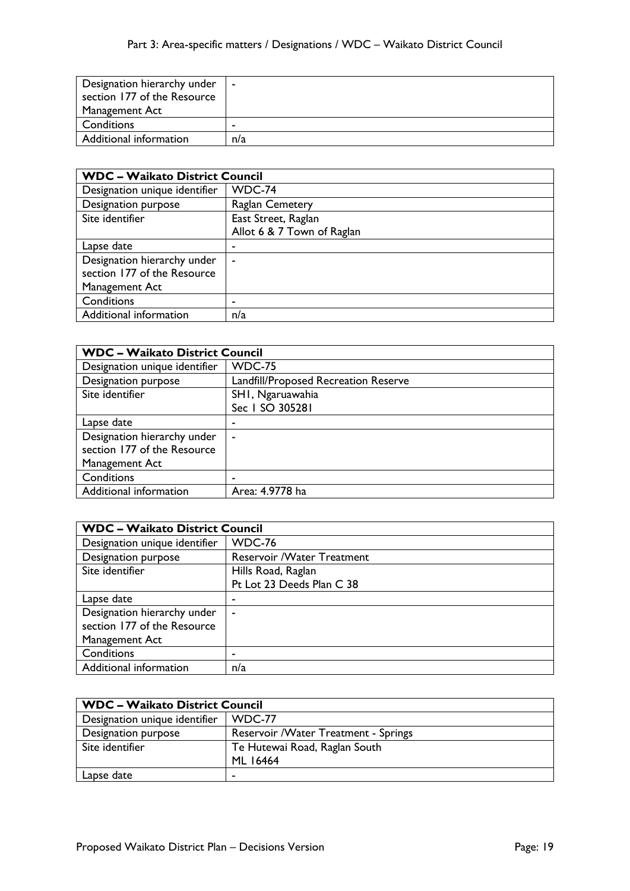| Designation hierarchy under | $\blacksquare$ |
|-----------------------------|----------------|
| section 177 of the Resource |                |
| Management Act              |                |
| Conditions                  |                |
| Additional information      | n/a            |

| <b>WDC - Waikato District Council</b> |                            |
|---------------------------------------|----------------------------|
| Designation unique identifier         | WDC-74                     |
| Designation purpose                   | <b>Raglan Cemetery</b>     |
| Site identifier                       | East Street, Raglan        |
|                                       | Allot 6 & 7 Town of Raglan |
| Lapse date                            | ۰                          |
| Designation hierarchy under           | ٠                          |
| section 177 of the Resource           |                            |
| Management Act                        |                            |
| Conditions                            | -                          |
| Additional information                | n/a                        |

| <b>WDC - Waikato District Council</b> |                                      |
|---------------------------------------|--------------------------------------|
| Designation unique identifier         | <b>WDC-75</b>                        |
| Designation purpose                   | Landfill/Proposed Recreation Reserve |
| Site identifier                       | SHI, Ngaruawahia                     |
|                                       | Sec 1 SO 305281                      |
| Lapse date                            | -                                    |
| Designation hierarchy under           | $\tilde{\phantom{a}}$                |
| section 177 of the Resource           |                                      |
| Management Act                        |                                      |
| Conditions                            | ۰                                    |
| Additional information                | Area: 4.9778 ha                      |

| <b>WDC - Waikato District Council</b> |                             |
|---------------------------------------|-----------------------------|
| Designation unique identifier         | <b>WDC-76</b>               |
| Designation purpose                   | Reservoir / Water Treatment |
| Site identifier                       | Hills Road, Raglan          |
|                                       | Pt Lot 23 Deeds Plan C 38   |
| Lapse date                            |                             |
| Designation hierarchy under           | $\blacksquare$              |
| section 177 of the Resource           |                             |
| Management Act                        |                             |
| Conditions                            |                             |
| Additional information                | n/a                         |

| <b>WDC - Waikato District Council</b> |                                      |
|---------------------------------------|--------------------------------------|
| Designation unique identifier         | WDC-77                               |
| Designation purpose                   | Reservoir /Water Treatment - Springs |
| Site identifier                       | Te Hutewai Road, Raglan South        |
|                                       | ML 16464                             |
| Lapse date                            |                                      |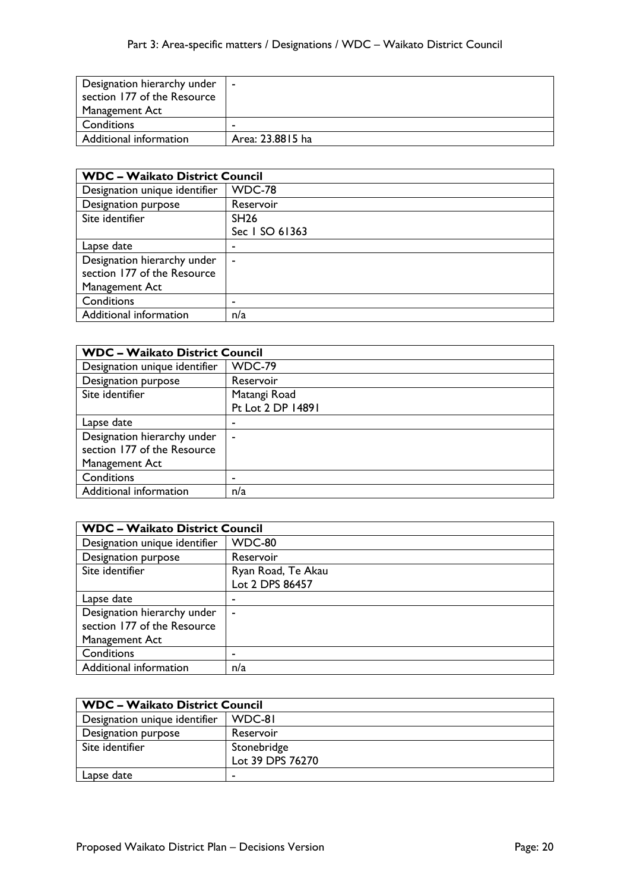| Designation hierarchy under | $\blacksquare$   |
|-----------------------------|------------------|
| section 177 of the Resource |                  |
| Management Act              |                  |
| Conditions                  |                  |
| Additional information      | Area: 23.8815 ha |

| <b>WDC - Waikato District Council</b> |                |
|---------------------------------------|----------------|
| Designation unique identifier         | WDC-78         |
| Designation purpose                   | Reservoir      |
| Site identifier                       | <b>SH26</b>    |
|                                       | Sec 1 SO 61363 |
| Lapse date                            | ۰              |
| Designation hierarchy under           | ٠              |
| section 177 of the Resource           |                |
| Management Act                        |                |
| Conditions                            | ۰              |
| Additional information                | n/a            |

| <b>WDC - Waikato District Council</b> |                   |
|---------------------------------------|-------------------|
| Designation unique identifier         | WDC-79            |
| Designation purpose                   | Reservoir         |
| Site identifier                       | Matangi Road      |
|                                       | Pt Lot 2 DP 14891 |
| Lapse date                            | ۰                 |
| Designation hierarchy under           | ٠                 |
| section 177 of the Resource           |                   |
| Management Act                        |                   |
| Conditions                            | ۰                 |
| Additional information                | n/a               |

| <b>WDC - Waikato District Council</b> |                                       |
|---------------------------------------|---------------------------------------|
| Designation unique identifier         | WDC-80                                |
| Designation purpose                   | Reservoir                             |
| Site identifier                       | Ryan Road, Te Akau<br>Lot 2 DPS 86457 |
| Lapse date                            | ٠                                     |
| Designation hierarchy under           | $\blacksquare$                        |
| section 177 of the Resource           |                                       |
| Management Act                        |                                       |
| Conditions                            | ۰                                     |
| Additional information                | n/a                                   |

| <b>WDC - Waikato District Council</b> |                  |
|---------------------------------------|------------------|
| Designation unique identifier         | WDC-81           |
| Designation purpose                   | Reservoir        |
| Site identifier                       | Stonebridge      |
|                                       | Lot 39 DPS 76270 |
| Lapse date                            |                  |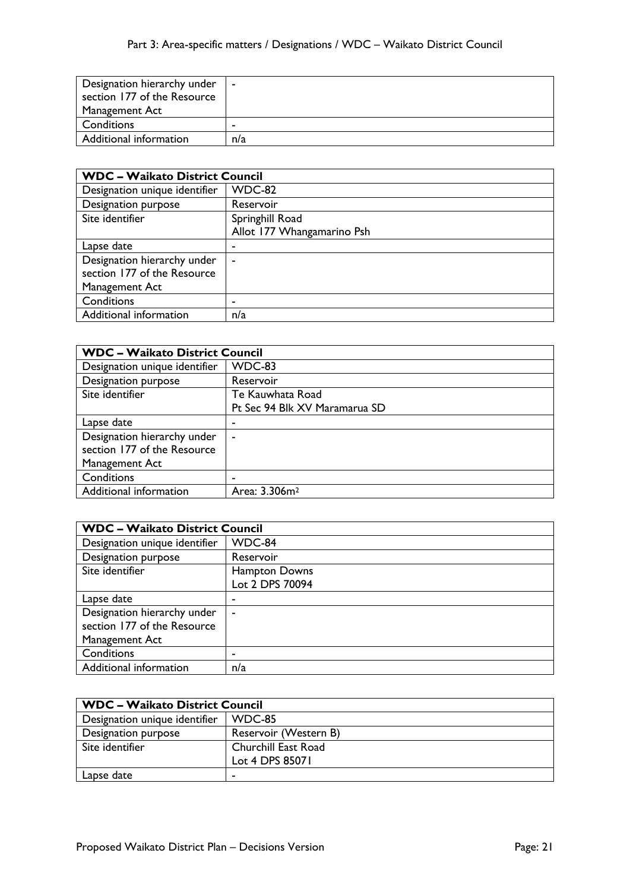| Designation hierarchy under | $\blacksquare$ |
|-----------------------------|----------------|
| section 177 of the Resource |                |
| Management Act              |                |
| Conditions                  |                |
| Additional information      | n/a            |

| <b>WDC - Waikato District Council</b> |                            |
|---------------------------------------|----------------------------|
| Designation unique identifier         | WDC-82                     |
| Designation purpose                   | Reservoir                  |
| Site identifier                       | Springhill Road            |
|                                       | Allot 177 Whangamarino Psh |
| Lapse date                            | ۰                          |
| Designation hierarchy under           | ٠                          |
| section 177 of the Resource           |                            |
| Management Act                        |                            |
| Conditions                            | -                          |
| Additional information                | n/a                        |

| <b>WDC - Waikato District Council</b> |                               |
|---------------------------------------|-------------------------------|
| Designation unique identifier         | WDC-83                        |
| Designation purpose                   | Reservoir                     |
| Site identifier                       | Te Kauwhata Road              |
|                                       | Pt Sec 94 Blk XV Maramarua SD |
| Lapse date                            |                               |
| Designation hierarchy under           | $\overline{\phantom{a}}$      |
| section 177 of the Resource           |                               |
| Management Act                        |                               |
| Conditions                            |                               |
| Additional information                | Area: 3.306m <sup>2</sup>     |

| <b>WDC - Waikato District Council</b> |                                  |
|---------------------------------------|----------------------------------|
| Designation unique identifier         | WDC-84                           |
| Designation purpose                   | Reservoir                        |
| Site identifier                       | Hampton Downs<br>Lot 2 DPS 70094 |
| Lapse date                            | ٠                                |
| Designation hierarchy under           | $\blacksquare$                   |
| section 177 of the Resource           |                                  |
| Management Act                        |                                  |
| Conditions                            | ۰                                |
| Additional information                | n/a                              |

| <b>WDC - Waikato District Council</b> |                       |
|---------------------------------------|-----------------------|
| Designation unique identifier         | WDC-85                |
| Designation purpose                   | Reservoir (Western B) |
| Site identifier                       | Churchill East Road   |
|                                       | Lot 4 DPS 85071       |
| Lapse date                            |                       |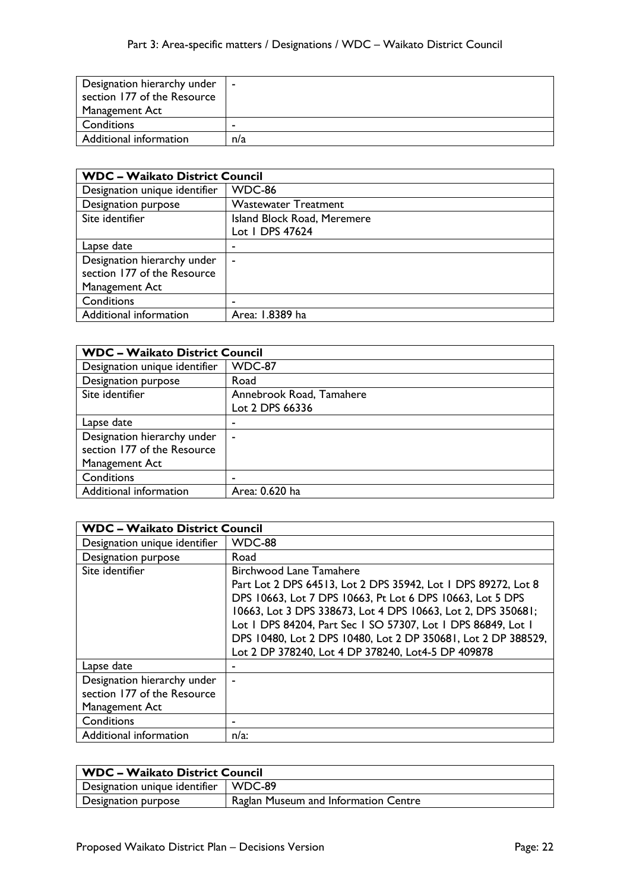| Designation hierarchy under | $\blacksquare$ |
|-----------------------------|----------------|
| section 177 of the Resource |                |
| Management Act              |                |
| Conditions                  |                |
| Additional information      | n/a            |

| <b>WDC - Waikato District Council</b> |                             |
|---------------------------------------|-----------------------------|
| Designation unique identifier         | WDC-86                      |
| Designation purpose                   | <b>Wastewater Treatment</b> |
| Site identifier                       | Island Block Road, Meremere |
|                                       | Lot 1 DPS 47624             |
| Lapse date                            | -                           |
| Designation hierarchy under           | ٠                           |
| section 177 of the Resource           |                             |
| Management Act                        |                             |
| Conditions                            | ٠                           |
| Additional information                | Area: 1.8389 ha             |

| <b>WDC - Waikato District Council</b> |                          |
|---------------------------------------|--------------------------|
| Designation unique identifier         | <b>WDC-87</b>            |
| Designation purpose                   | Road                     |
| Site identifier                       | Annebrook Road, Tamahere |
|                                       | Lot 2 DPS 66336          |
| Lapse date                            |                          |
| Designation hierarchy under           |                          |
| section 177 of the Resource           |                          |
| Management Act                        |                          |
| Conditions                            |                          |
| Additional information                | Area: 0.620 ha           |

| <b>WDC - Waikato District Council</b> |                                                               |
|---------------------------------------|---------------------------------------------------------------|
| Designation unique identifier         | WDC-88                                                        |
| Designation purpose                   | Road                                                          |
| Site identifier                       | <b>Birchwood Lane Tamahere</b>                                |
|                                       | Part Lot 2 DPS 64513, Lot 2 DPS 35942, Lot 1 DPS 89272, Lot 8 |
|                                       | DPS 10663, Lot 7 DPS 10663, Pt Lot 6 DPS 10663, Lot 5 DPS     |
|                                       | 10663, Lot 3 DPS 338673, Lot 4 DPS 10663, Lot 2, DPS 350681;  |
|                                       | Lot   DPS 84204, Part Sec   SO 57307, Lot   DPS 86849, Lot    |
|                                       | DPS 10480, Lot 2 DPS 10480, Lot 2 DP 350681, Lot 2 DP 388529, |
|                                       | Lot 2 DP 378240, Lot 4 DP 378240, Lot4-5 DP 409878            |
| Lapse date                            |                                                               |
| Designation hierarchy under           |                                                               |
| section 177 of the Resource           |                                                               |
| Management Act                        |                                                               |
| Conditions                            |                                                               |
| Additional information                | $n/a$ :                                                       |

| <b>WDC - Waikato District Council</b>  |                                      |
|----------------------------------------|--------------------------------------|
| Designation unique identifier   WDC-89 |                                      |
| Designation purpose                    | Raglan Museum and Information Centre |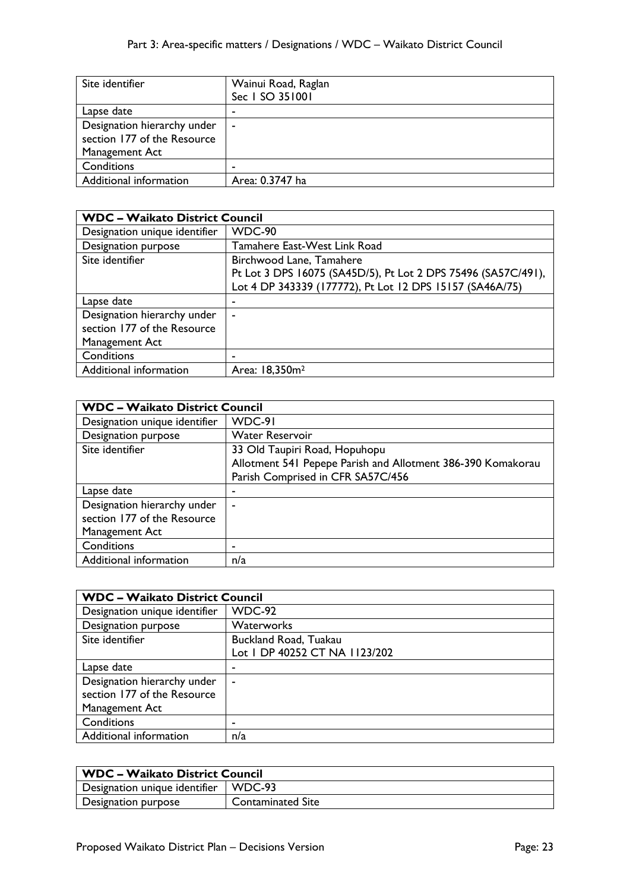| Site identifier             | Wainui Road, Raglan<br>Sec 1 SO 351001 |
|-----------------------------|----------------------------------------|
| Lapse date                  |                                        |
| Designation hierarchy under | $\sim$                                 |
| section 177 of the Resource |                                        |
| Management Act              |                                        |
| Conditions                  | -                                      |
| Additional information      | Area: 0.3747 ha                        |

| <b>WDC - Waikato District Council</b> |                                                               |
|---------------------------------------|---------------------------------------------------------------|
| Designation unique identifier         | WDC-90                                                        |
| Designation purpose                   | Tamahere East-West Link Road                                  |
| Site identifier                       | Birchwood Lane, Tamahere                                      |
|                                       | Pt Lot 3 DPS 16075 (SA45D/5), Pt Lot 2 DPS 75496 (SA57C/491), |
|                                       | Lot 4 DP 343339 (177772), Pt Lot 12 DPS 15157 (SA46A/75)      |
| Lapse date                            | ۰                                                             |
| Designation hierarchy under           | ۰                                                             |
| section 177 of the Resource           |                                                               |
| Management Act                        |                                                               |
| Conditions                            |                                                               |
| Additional information                | Area: 18,350m <sup>2</sup>                                    |

| <b>WDC - Waikato District Council</b> |                                                             |
|---------------------------------------|-------------------------------------------------------------|
| Designation unique identifier         | WDC-91                                                      |
| Designation purpose                   | <b>Water Reservoir</b>                                      |
| Site identifier                       | 33 Old Taupiri Road, Hopuhopu                               |
|                                       | Allotment 541 Pepepe Parish and Allotment 386-390 Komakorau |
|                                       | Parish Comprised in CFR SA57C/456                           |
| Lapse date                            | ٠                                                           |
| Designation hierarchy under           | ۰                                                           |
| section 177 of the Resource           |                                                             |
| Management Act                        |                                                             |
| Conditions                            |                                                             |
| Additional information                | n/a                                                         |

| <b>WDC - Waikato District Council</b> |                               |
|---------------------------------------|-------------------------------|
| Designation unique identifier         | <b>WDC-92</b>                 |
| Designation purpose                   | Waterworks                    |
| Site identifier                       | Buckland Road, Tuakau         |
|                                       | Lot I DP 40252 CT NA 1123/202 |
| Lapse date                            | ٠                             |
| Designation hierarchy under           |                               |
| section 177 of the Resource           |                               |
| Management Act                        |                               |
| Conditions                            | -                             |
| Additional information                | n/a                           |

| WDC – Waikato District Council         |                   |
|----------------------------------------|-------------------|
| Designation unique identifier   WDC-93 |                   |
| Designation purpose                    | Contaminated Site |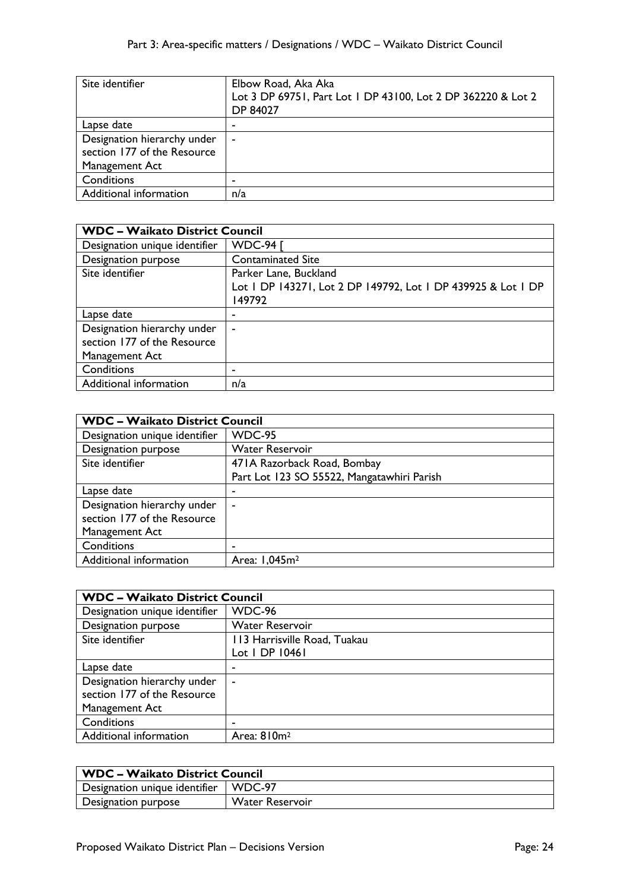| Site identifier                                            | Elbow Road, Aka Aka<br>Lot 3 DP 69751, Part Lot 1 DP 43100, Lot 2 DP 362220 & Lot 2<br><b>DP 84027</b> |
|------------------------------------------------------------|--------------------------------------------------------------------------------------------------------|
| Lapse date                                                 |                                                                                                        |
| Designation hierarchy under<br>section 177 of the Resource | ۰                                                                                                      |
| Management Act                                             |                                                                                                        |
| Conditions                                                 |                                                                                                        |
| Additional information                                     | n/a                                                                                                    |

| <b>WDC - Waikato District Council</b> |                                                              |
|---------------------------------------|--------------------------------------------------------------|
| Designation unique identifier         | <b>WDC-94 [</b>                                              |
| Designation purpose                   | <b>Contaminated Site</b>                                     |
| Site identifier                       | Parker Lane, Buckland                                        |
|                                       | Lot   DP 143271, Lot 2 DP 149792, Lot   DP 439925 & Lot   DP |
|                                       | 149792                                                       |
| Lapse date                            |                                                              |
| Designation hierarchy under           | ۰                                                            |
| section 177 of the Resource           |                                                              |
| Management Act                        |                                                              |
| Conditions                            |                                                              |
| Additional information                | n/a                                                          |

| <b>WDC - Waikato District Council</b> |                                            |
|---------------------------------------|--------------------------------------------|
| Designation unique identifier         | <b>WDC-95</b>                              |
| Designation purpose                   | <b>Water Reservoir</b>                     |
| Site identifier                       | 471A Razorback Road, Bombay                |
|                                       | Part Lot 123 SO 55522, Mangatawhiri Parish |
| Lapse date                            |                                            |
| Designation hierarchy under           | ۰                                          |
| section 177 of the Resource           |                                            |
| Management Act                        |                                            |
| Conditions                            |                                            |
| Additional information                | Area: 1,045m <sup>2</sup>                  |

| <b>WDC - Waikato District Council</b> |                              |
|---------------------------------------|------------------------------|
| Designation unique identifier         | WDC-96                       |
| Designation purpose                   | <b>Water Reservoir</b>       |
| Site identifier                       | 113 Harrisville Road, Tuakau |
|                                       | Lot   DP 10461               |
| Lapse date                            | -                            |
| Designation hierarchy under           | $\overline{\phantom{a}}$     |
| section 177 of the Resource           |                              |
| Management Act                        |                              |
| Conditions                            |                              |
| Additional information                | Area: 810m <sup>2</sup>      |

| WDC – Waikato District Council         |                 |
|----------------------------------------|-----------------|
| Designation unique identifier   WDC-97 |                 |
| Designation purpose                    | Water Reservoir |